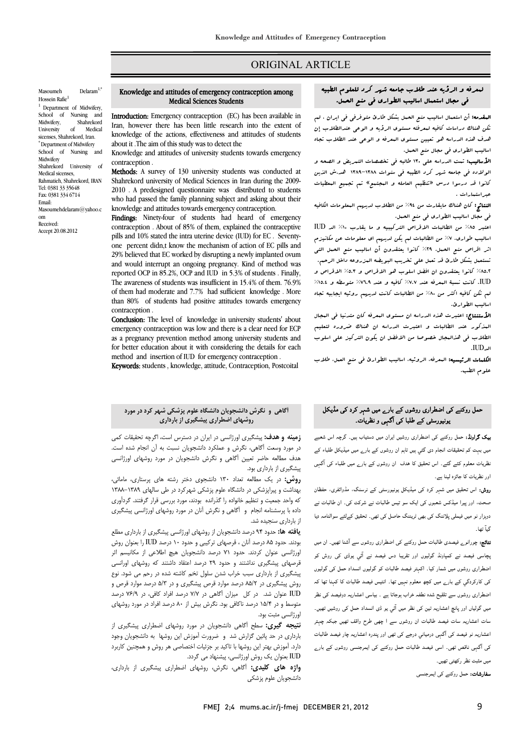# ORIGINAL ARTICLE

Masoumeh Delaram<sup>1,\*</sup> Hossein Rafie<sup>1</sup> <sup>1</sup> Department of Midwifery, School of Nursing and<br>Midwifery, Shahrekord Shahrekord University of Medical sicenses, Shahrekord, Iran. \* Department of Midwifery School of Nursing and Midwifery Shahrekord University of Medical sicenses, Rahmatieh, Shahrekord, IRAN Tel: 0381 33 35648 Fax: 0381 334 6714 Email: Masoumehdelaram@yahoo.c om Received: Accept 20.08.2012

#### Knowledge and attitudes of emergency contraception among Medical Sciences Students

Ī  $\overline{a}$ 

 Introduction: Emergency contraception (EC) has been available in **IRENT CONCORTER INTERFECT CONTRACTMENT** INC. This been available in<br>Iran, however there has been little research into the extent of knowledge of the actions, effectiveness and attitudes of students about it .The aim of this study was to detect the

Knowledge and attitudes of university students towards emergency contraception .

 Methods: A survey of 130 university students was conducted at 2010 . A predesigned questionnaire was distributed to students who had passed the family planning subject and asking about their knowledge and attitudes towards emergency contraception. Shahrekord university of Medical Sciences in Iran during the 2009-

 contraception . About of 85% of them, explained the contraceptive pills and 10% stated the intra uterine device (IUD) for EC . Seventy- 29% believed that EC worked by disrupting a newly implanted ovum and would interrupt an ongoing pregnancy. Kind of method was reported OCP in 85.2%, OCP and IUD in 5.3% of students . Finally,<br>The expresses of students was insufficient in 15.4% of them.  $76.0\%$  of them had moderate and 7.7% had sufficient knowledge . More than 80% of students had positive attitudes towards emergency Findings: Ninety-four of students had heard of emergency one percent didn,t know the mechanism of action of EC pills and The awareness of students was insufficient in 15.4% of them. 76.9% contraception .

conclusion: The level of knowledge in university students' about emergency contraception was low and there is a clear need for ECP as a pregnancy prevenuon method among university students and<br>for better education about it with considering the details for each method and insertion of IUD for emergency contraception . as a pregnancy prevention method among university students and

Keywords: students , knowledge, attitude, Contraception, Postcoital

# **آگاهي و نگرش دانشجويان دانشگاه علوم پزشكي شهر كرد در مورد روشهاي اضطراري پيشگيري از بارداري**

 **زمينه و هدف:** پيشگيري اورژانسي در ايران در دسترس است، اگرچه تحقيقات كمي در مورد وسعت آگاهي، نگرش و عملكرد دانشجويان نسبت به آن انجام شده است. هدف مطالعه حاضر تعيين آگاهي و نگرش دانشجويان در مورد روشهاي اورژانسي پيشگيري از بارداري بود.

**روش:** در يک مطالعه تعداد ۱۳۰ دانشجوی دختر رشته های پرستاری، مامائی،<br>مدافعت مساحقه در دانشگاه با مشققه در کردن با مساحقه است. كه واحد جمعيت و تنظيم خانواده را گذرانده بودند، مورد بررسي قرار گرفتند. گردآوري داده با پرسشنامه انجام و آگاهي و نگرش آنان در مورد روشهاي اورژانسي پيشگيري بهداشت و پيراپزشكي در دانشگاه علوم پزشكي شهركرد در طي سالهاي 1388-1389 از بارداري سنجيده شد.

 **يافته ها:** حدود 94 درصد دانشجويان از روشهاي اورژانسي پيشگيري از بارداري مطلع ..<br>ورژانسي عنوان كردند. حدود ۲۱ درصد دانشجويان هيچ اطلاعي از مكانيسم اثر قرصهاي پيشگيري نداشتند و حدود 29 درصد اعتقاد داشتند كه روشهاي اورانسي پيشگيري از بارداري سبب خراب شدن سلول تخم كاشته شده در رحم مي شود. نوع روس پیستیری در ۸۵/۱ درصد موارد فرص پیستیری و در ۵/۱ درصد موارد فرص و<br>IUD عنوان شد. در كل میزان آگاهی در ۷/۷ درصد افراد كافی، در 76/9 درصد ر بي در در در در در سال در سال بيش از ۸۰ درصد افراد در مورد روشهای در مورد روشهای در مورد روشهای در مورد روشها بودند. حدود 85 درصد آنان ، قرصهاي تركيبي و حدود 10 درصد IUD را بعنوان روش روش پيشگيري در 85/2 درصد موارد قرص پيشگيري و در 5/3 درصد موارد قرص و اورژانسي مثبت بود.

 **نتيجه گيري:** سطح آگاهي دانشجويان در مورد روشهاي اضطراري پيشگيري از بارداري در حد پائين گزارش شد و ضرورت آموزش اين روشها به دانشجويان وجود IUD بعنوان يك روش اورژانسي، پيشنهاد مي گردد. دارد. آموزش بهتر اين روشها با تاكيد بر جزئيات اختصاصي هر روش و همچنين كاربرد

 **واژه هاي كليدي:** آگاهي، نگرش، روشهاي اضطراري پيشگيري از بارداري، دانشجويان علوم پزشكي

### لمعرفه و الرؤيه عند طلاب جامعه شهر كرد للعلوم الطبيه -<br>' في مجال استعمال اساليب الطواري في منع الحمل.

Ī  $\overline{a}$ 

**المقدمه:** أن استعمال اساليب منع الحمل بشكل طارئ متوفرفي في ايران ، لم<br>م هن هذه الدراس التي المعرف السلوف الرويا والتوالي المعاهدية إلى<br>هدف هذه الدراسة هو تعيين مستوى البعرفة و الوعي عند الطلاب تجاه اساليب الطواري في مجال منع الحمل. تكن هناك دراسات كافيه لمعرفته مستوي الرؤيه و الوعي عندالطلاب إن

 الأساليب: تمت الدراسه علي 130 طالبه في تخصصات التمريض و الصحه و الولاده في جامعه شرس كرد الطيبه في سنوات ١٣٨٨–١٣٨٩ هد.ش الذين كانوا قد درسوا درس «تنظيم العامله و المجتمع» تم تجميع المعطيات عبراستمارات .

عبر استعارات .<br>ا**لنتائج:** كان هناك مايقارت من 4t% من الطلاب لديهم البعلومات الكافيه في مجال اساليب الطواري في منع الحمل.

 اعتبر %85 من الطالبات الاقراص التركيبيه و ما يقارب %10 الد IUD اساليب طواري. %7 من الطالبات لم يكن لديهم اي معلومات عن مكانيزم اثر اقراص منع الحمل. %29 كانوا يعتقدون أن اساليب منع الحمل التي تستعمل بشكل طارئ قد تعمل علي تخريب البويضه المزروعه داخل الرحم. ......... تامو. يستندون ان الصل المتوب عو الحريراني و المعاد الحريراني و<br>IUD. كانت نسبة البعرفه عند ٧.٧٪ كافيه و عند ١٦.٩% متوسطه و ٥.٤% لم تكن كافيه اكثر من %80 من الطالبات كانت لديهم روئيه ايجابيه تجاه %85.2 كانوا يعتقدون ان افضل اسلوب هو الاقراص و %5.3 الاقراص و اساليب الطوارئ.

 الأستنتاج: اعتبرت هذه الدراسه ان مستوي المعرفه كان متدنيا في المجال المذكور عند الطالبات و اعتبرت الدراسه ان هناك ضروره لتعليم الطلاب في هذالبجال خصوصا من الافضل ان يكون التركيز على اسلوب<br>حسب الدIUD.

 الكلمات الرئيسيه: المعرفه، الروئيه، اساليب الطوارئ في منع العمل، طلاب علوم الطب.

# حمل روکنے کی اضطراری روشوں کے بارے میں شہر کرد کی مڈیکل یونیورسٹی کے طلبا کی آگہی و نظریات۔

 بیک گراونڈ: حمل روکنے کی اضطراری روشیں ایران میں دستیاب ہیں۔ گرچہ اس شعبے میں بہت کم تحقیقات انجام دی گئي ہیں تاہم ان روشوں کے بارے میں میڈیکل طلباء کے نظریات معلوم کئے گئے۔ اس تحقیق کا ھدف ان روشوں کے بارے میں طلباء کی آگہی اور نظریات کا جائزہ لینا ہے۔

 روش: اس تحقیق میں شہر کرد کی میڈیکل یونیورسٹی کے نرسنگ، مڈوائفری، حفظان صحت، اور پیرا میڈکس شعبوں کی ایک سو تیس طالبات نے شرکت کی۔ ان طالبات نے دوہزار نو میں فیملی پلاننگ کی ہے۔ تحت کے سات کے ساتھا کہ اس کے ساتھ کی تعلیم دیا۔<br>دوہزار نو میں فیملی پلاننگ کی بھی ٹریننگ حاصل کی تھی۔ تحقیق کےلئے سوالنامہ دیا گيآ تھا۔

 نتائج: چورانوے فیصدی طالبات حمل روکنے کی اضطراری روشوں سے آشنا تھیں۔ ان میں پچاسی فیصد نے کمپاونڈ گولیوں اور تقریبا دس فیصد نے آئي یوڈی کی روش کو بہ سی سے سے سپردار دین در اس سے سے سے سی سوال کو گولیوں<br>اضطراری روشوں میں شمار کیا۔ اکہتر فیصد طالبات کو گولیوں انسداد حمل کی گولیوں کی کارکردگي کے بارے میں کچھ معلوم نہیں تھا۔ انتیس فیصد طالبات کا کہنا تھا کہ اضطراری روشوں سے تلقیح شدہ نطفہ خراب ہوجاتا ہے ۔ بیاسی اعشاریہ دوفیصد کی نظر مسوری روشیں سے ملیے شدہ سے رہی ہے ہیں۔ اس کے بیٹس مساوی روسیں تھیں۔<br>میں گولیاں اور پانچ اعشاریہ تین کی نظر میں آئی یو ڈی انسداد حمل کی روشیں تھیں۔ س عربیں سریہ سے سات ہے۔ سے وسر سے سے یہ سات سے سے رسیں جیں۔<br>سات اعشاریہ سات فیصد طالبات ان روشوں سے ا چھی طرح واقف تھیں جبکہ چہتر ساع اعساریہ سات عیسد کا بیات ان روسوں سے ان پہنی علی واقعا عہیں بیعام چاہد<br>اعشاریہ نو فیصد کی آگہی درمیانی درجے کی تھی اور پندرہ اعشاریہ چار فیصد طالبات Ī کی آگہی ناقص تھی۔ اسی فیصد طالبات حمل روکنے کی ایمرجنسی روشوں کے بارے میں مثبت نظر رکھتی تھیں۔

**سفارشات:** حمل روکنے کی ایمرجنسی<br>۔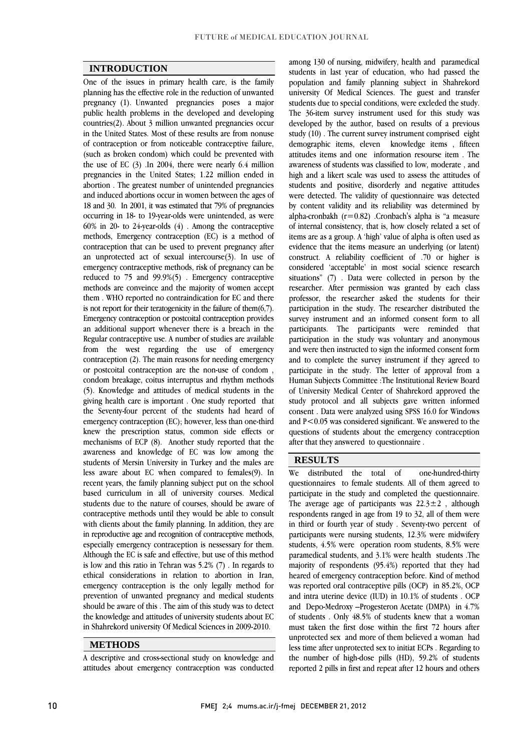$\overline{a}$ 

## **INTRODUCTION**

 One of the issues in primary health care, is the family planning has the effective role in the reduction of unwanted pregnancy (1). Chiwanted pregnancies poses a major<br>public health problems in the developed and developing countries(2). About 3 million unwanted pregnancies occur in the United States. Most of these results are from nonuse of contraception or from noticeable contraceptive failure, the use of EC  $(3)$ . In 2004, there were nearly 6.4 million pregnancies in the United States; 1.22 million ended in abortion . The greatest number of unintended pregnancies and induced abortions occur in women between the ages of occurring in 18- to 19-year-olds were unintended, as were 60% in 20- to 24-year-olds (4) . Among the contraceptive methods, Emergency contraception (EC) is a method of contraception that can be used to prevent pregnancy after<br> $\epsilon$ emergency contraceptive methods, risk of pregnancy can be reduced to 75 and 99.9%(5) . Emergency contraceptive methods are conveince and the majority of women accept is not report for their teratogenicity in the failure of them(6,7). Emergency contraception or postcoital contraception provides an additional support whenever there is a breach in the Regular contraceptive use. A number of studies are available contraception (2). The main reasons for needing emergency or postcoital contraception are the non-use of condom , condom breakage, coitus interruptus and rhythm methods (5). Knowledge and attitudes of medical students in the the Seventy-four percent of the students had heard of emergency contraception (EC); however, less than one-third knew the prescription status, common side effects or mechanisms of ECP (8). Another study reported that the students of Mersin University in Turkey and the males are less aware about EC when compared to females(9). In recent years, the family planning subject put on the school based curriculum in all of university courses. Medical contraceptive methods until they would be able to consult with clients about the family planning. In addition, they are in reproductive age and recognition of contraceptive methods, especially emergency contraception is nessessary for them. is low and this ratio in Tehran was 5.2% (7) . In regards to ethical considerations in relation to abortion in Iran, emergency contraception is the only legally method for should be aware of this . The aim of this study was to detect the knowledge and attitudes of university students about EC in Shahrekord university Of Medical Sciences in 2009-2010. pregnancy (1). Unwanted pregnancies poses a major (such as broken condom) which could be prevented with 18 and 30. In 2001, it was estimated that 79% of pregnancies an unprotected act of sexual intercourse(3). In use of them . WHO reported no contraindication for EC and there from the west regarding the use of emergency giving health care is important . One study reported that awareness and knowledge of EC was low among the students due to the nature of courses, should be aware of Although the EC is safe and effective, but use of this method prevention of unwanted pregnancy and medical students

## **METHODS**

 A descriptive and cross-sectional study on knowledge and attitudes about emergency contraception was conducted

 students in last year of education, who had passed the population and family planning subject in Shahrekord university Of Medical Sciences. The guest and transfer The 36-item survey instrument used for this study was developed by the author, based on results of a previous study (10) . The current survey instrument comprised eight demographic items, eleven knowledge items , fifteen awareness of students was classified to low, moderate , and high and a likert scale was used to assess the attitudes of students and positive, disorderly and negative attitudes were detected. The validity of questionnaire was detected<br>hyperatest will line and its article line was determined by alpha-cronbakh  $(r=0.82)$ . Cronbach's alpha is "a measure of internal consistency, that is, how closely related a set of items are as a group. A 'high' value of alpha is often used as construct. A reliability coefficient of .70 or higher is considered 'acceptable' in most social science research situations" (7) . Data were collected in person by the researcher. After permission was granted by each class processor, the researcher asked the students for their<br>participation in the study. The researcher distributed the survey instrument and an informed consent form to all participants. The participants were reminded that participation in the study was voluntary and anonymous and to complete the survey instrument if they agreed to participate in the study. The letter of approval from a Human Subjects Committee :The Institutional Review Board of University Medical Center of Shahrekord approved the consent . Data were analyzed using SPSS 16.0 for Windows and P<0.05 was considered significant. We answered to the questions of students about the emergency contraception among 130 of nursing, midwifery, health and paramedical students due to special conditions, were excleded the study. attitudes items and one information resourse item . The by content validity and its reliability was determined by evidence that the items measure an underlying (or latent) professor, the researcher asked the students for their and were then instructed to sign the informed consent form study protocol and all subjects gave written informed after that they answered to questionnaire .

### **RESULTS**

one-hundred-thirty questionnaires to female students. All of them agreed to participate in the study and completed the questionnane.<br>The average age of participants was  $22.3 \pm 2$ , although respondents ranged in age from 19 to 32, all of them were in third or fourth year of study . Seventy-two percent of participants were nursing students, 12.3% were midwifery paramedical students, and 3.1% were health students .The majority of respondents (95.4%) reported that they had heared of emergency contraception before. Kind of method was reported oral contraceptive pills (OCP) in 85.2%, OCP and Depo-Medroxy –Progesteron Acetate (DMPA) in 4.7% of students . Only 48.5% of students knew that a woman must taken the first dose within the first 72 hours after unprotected sex and more of them believed a woman had the number of high-dose pills (HD), 59.2% of students reported 2 pills in first and repeat after 12 hours and others We distributed the total of participate in the study and completed the questionnaire. students, 4.5% were operation room students, 8.5% were and intra uterine device (IUD) in 10.1% of students . OCP less time after unprotected sex to initiat ECPs . Regarding to

Ī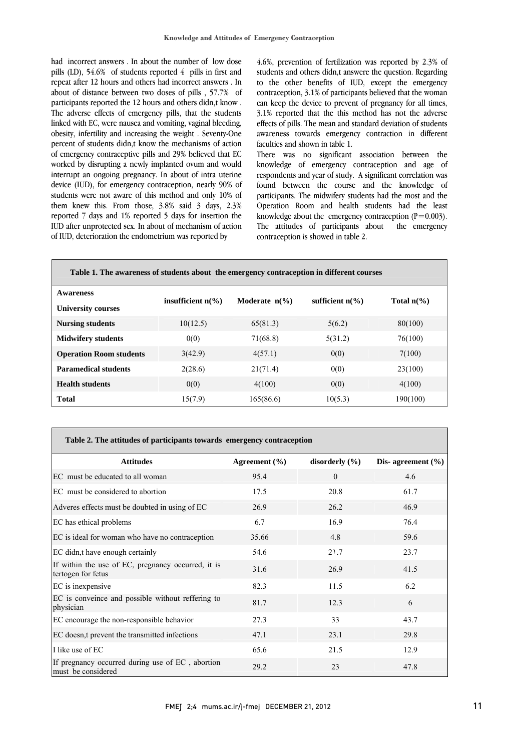had incorrect answers . In about the number of low dose pills (LD), 54.6% of students reported 4 pills in first and repeat after 12 hours and others had incorrect answers . In about of distance between two doses of pills , 57.7% of The adverse effects of emergency pills, that the students linked with EC, were nausea and vomiting, vaginal bleeding, obesity, infertility and increasing the weight . Seventy-One percent of students didn,t know the mechanisms of action worked by disrupting a newly implanted ovum and would interrupt an ongoing pregnancy. In about of intra uterine device (IUD), for emergency contraception, nearly 90% of students were not aware of this method and only  $10\%$  of<br>them knew this. From those,  $3.8\%$  said 3 days,  $2.3\%$ reported 7 days and 1% reported 5 days for insertion the IUD after unprotected sex. In about of mechanism of action participants reported the 12 hours and others didn,t know . of emergency contraceptive pills and 29% believed that EC students were not aware of this method and only 10% of of IUD, deterioration the endometrium was reported by

 4.6%, prevention of fertilization was reported by 2.3% of students and others didn,t answere the question. Regarding to the other benefits of IUD, except the emergency contraception, 3.1% of participants believed that the woman 3.1% reported that the this method has not the adverse awareness towards emergency contraction in different can keep the device to prevent of pregnancy for all times, effects of pills. The mean and standard deviation of students faculties and shown in table 1.

raculties and shown in lable 1.<br>There was no significant association between the knowledge of emergency contraception and age of respondents and year of study. A significant correlation was found between the course and the knowledge of parucipants. The midwitery students had the most and the<br>Operation Room and health students had the least knowledge about the emergency contraception  $(P=0.003)$ . the emergency participants. The midwifery students had the most and the The attitudes of participants about contraception is showed in table 2.

| Table 1. The awareness of students about the emergency contraception in different courses |                              |                         |                           |                      |  |  |
|-------------------------------------------------------------------------------------------|------------------------------|-------------------------|---------------------------|----------------------|--|--|
| <b>Awareness</b>                                                                          | insufficient $n\binom{0}{0}$ | Moderate $n\frac{6}{6}$ | sufficient $n\frac{6}{6}$ | Total $n\frac{6}{6}$ |  |  |
| University courses                                                                        |                              |                         |                           |                      |  |  |
| <b>Nursing students</b>                                                                   | 10(12.5)                     | 65(81.3)                | 5(6.2)                    | 80(100)              |  |  |
| <b>Midwifery students</b>                                                                 | 0(0)                         | 71(68.8)                | 5(31.2)                   | 76(100)              |  |  |
| <b>Operation Room students</b>                                                            | 3(42.9)                      | 4(57.1)                 | 0(0)                      | 7(100)               |  |  |
| <b>Paramedical students</b>                                                               | 2(28.6)                      | 21(71.4)                | 0(0)                      | 23(100)              |  |  |
| <b>Health students</b>                                                                    | 0(0)                         | 4(100)                  | 0(0)                      | 4(100)               |  |  |
| <b>Total</b>                                                                              | 15(7.9)                      | 165(86.6)               | 10(5.3)                   | 190(100)             |  |  |

| Table 2. The attitudes of participants towards emergency contraception |  |  |
|------------------------------------------------------------------------|--|--|

| <b>Attitudes</b>                                                         | Agreement $(\% )$ | disorderly $(\% )$ | Dis-agreement $(\% )$ |
|--------------------------------------------------------------------------|-------------------|--------------------|-----------------------|
| EC must be educated to all woman                                         | 95.4              | $\theta$           | 4.6                   |
| EC must be considered to abortion                                        | 17.5              | 20.8               | 61.7                  |
| Adveres effects must be doubted in using of EC                           | 26.9              | 26.2               | 46.9                  |
| EC has ethical problems                                                  | 6.7               | 16.9               | 76.4                  |
| EC is ideal for woman who have no contraception                          | 35.66             | 4.8                | 59.6                  |
| EC didn,t have enough certainly                                          | 54.6              | 2 <sub>1.7</sub>   | 23.7                  |
| If within the use of EC, pregnancy occurred, it is<br>tertogen for fetus | 31.6              | 26.9               | 41.5                  |
| EC is inexpensive                                                        | 82.3              | 11.5               | 6.2                   |
| EC is conveince and possible without reffering to<br>physician           | 81.7              | 12.3               | 6                     |
| EC encourage the non-responsible behavior                                | 27.3              | 33                 | 43.7                  |
| EC doesn,t prevent the transmitted infections                            | 47.1              | 23.1               | 29.8                  |
| I like use of EC                                                         | 65.6              | 21.5               | 12.9                  |
| If pregnancy occurred during use of EC, abortion<br>must be considered   | 29.2              | 23                 | 47.8                  |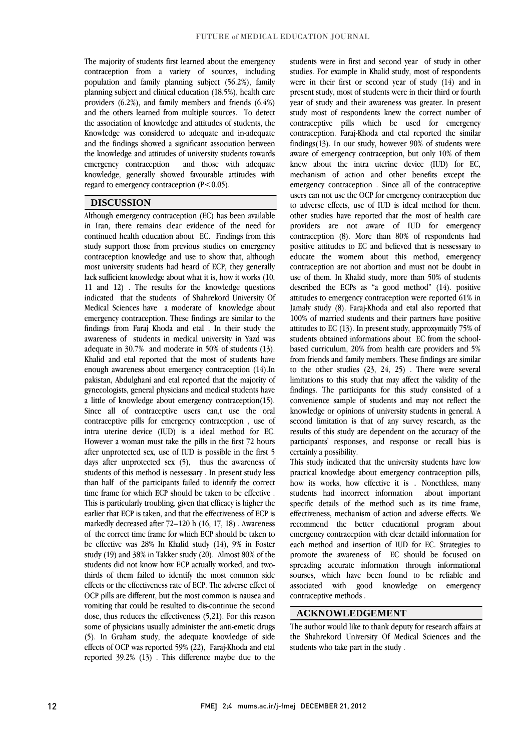٦

 The majority of students first learned about the emergency contraception from a variety of sources, including population and family planning subject (56.2%), family planning subject and clinical education (18.5%), health care and the others learned from multiple sources. To detect the association of knowledge and attitudes of students, the Knowledge was considered to adequate and in-adequate and the findings showed a significant association between emergency contraception and those with adequate knowledge, generally showed favourable attitudes with providers (6.2%), and family members and friends (6.4%) the knowledge and attitudes of university students towards regard to emergency contraception  $(P<0.05)$ .

## **DISCUSSION**

 Although emergency contraception (EC) has been available in Iran, there remains clear evidence of the need for continued health education about EC. Findings from this study support those from previous studies on emergency most university students had heard of ECP, they generally lack sufficient knowledge about what it is, how it works (10, 11 and 12) . The results for the knowledge questions Medical Sciences have a moderate of knowledge about emergency contraception. These findings are similar to the findings from Faraj Khoda and etal . In their study the awareness of students in medical university in Yazd was  $\frac{d}{dx}$  Khalid and etal reported that the most of students have enough awareness about emergency contraception (14).In pakistan, Abdulghani and etal reported that the majority of gynecologists, general physicians and medical students have  $\sum_{n=1}^{\infty}$  and  $\sum_{n=1}^{\infty}$  and  $\sum_{n=1}^{\infty}$  and  $\sum_{n=1}^{\infty}$  and  $\sum_{n=1}^{\infty}$  and  $\sum_{n=1}^{\infty}$  and  $\sum_{n=1}^{\infty}$  and  $\sum_{n=1}^{\infty}$  and  $\sum_{n=1}^{\infty}$  and  $\sum_{n=1}^{\infty}$  and  $\sum_{n=1}^{\infty}$  and  $\sum_{n=1}^{\infty$  contraceptive pills for emergency contraception , use of intra uterine device (IUD) is a ideal method for EC. However a woman must take the pills in the first 72 hours students of this method is nessessary . In present study less than half of the participants failed to identify the correct This is particularly troubling, given that efficacy is higher the earlier that ECP is taken, and that the effectiveness of ECP is markedly decreased after 72–120 h (16, 17, 18) . Awareness of the correct time frame for which ECP should be taken to study (19) and 38% in Takker study (20). Almost 80% of the students did not know how ECP actually worked, and two- thirds of them failed to identify the most common side effects or the effectiveness rate of ECP. The adverse effect of vomiting that could be resulted to dis-continue the second dose, thus reduces the effectiveness (5,21). For this reason some of physicians usually administer the anti-emetic drugs (5). In Graham study, the adequate knowledge of side<br> $\int_{0}^{\infty}$  (200).  $\int_{0}^{\infty}$  (30).  $\int_{0}^{\infty}$  (30).  $\int_{0}^{\infty}$  (4).  $\int_{0}^{\infty}$ reported  $39.2\%$  (13). This difference maybe due to the contraception knowledge and use to show that, although indicated that the students of Shahrekord University Of adequate in 30.7% and moderate in 50% of students (13). a little of knowledge about emergency contraception(15). after unprotected sex, use of IUD is possible in the first 5 days after unprotected sex (5), thus the awareness of time frame for which ECP should be taken to be effective . be effective was 28% In Khalid study (14), 9% in Foster OCP pills are different, but the most common is nausea and effects of OCP was reported 59% (22), Faraj-Khoda and etal

 students were in first and second year of study in other studies. For example in Khalid study, most of respondents were in their first or second year of study (14) and in present study, most of students were in their third or fourth study most of respondents knew the correct number of contraceptive pills which be used for emergency contraception. Faraj-Khoda and etal reported the similar findings(13). In our study, however 90% of students were knew about the intra uterine device (IUD) for EC, mechanism of action and other benefits except the emergency contraception . Since all of the contraceptive users can not use the OCP for emergency contraception due other studies have reported that the most of health care providers are not aware of IUD for emergency contraception (8). More than 80% of respondents had positive attitudes to EC and believed that is nessessary to contraception are not abortion and must not be doubt in use of them. In Khalid study, more than 50% of students described the ECPs as "a good method" (14). positive Jamaly study (8). Faraj-Khoda and etal also reported that 100% of married students and their partners have positive attitudes to EC (13). In present study, approxymaitly 75% of students obtained informations about EC from the schoolbased euriculum, 20% nomineatured providers and 5% from friends and family members. These findings are similar to the other studies  $(23, 24, 25)$ . There were several limitations to this study that may affect the validity of the findings. The participants for this study consisted of a knowledge or opinions of university students in general. A second limitation is that of any survey research, as the results of this study are dependent on the accuracy of the participants' responses, and response or recall bias is year of study and their awareness was greater. In present aware of emergency contraception, but only 10% of them to adverse effects, use of IUD is ideal method for them. educate the womem about this method, emergency attitudes to emergency contraception were reported 61% in based curriculum, 20% from health care providers and 5% convenience sample of students and may not reflect the certainly a possibility.

 This study indicated that the university students have low practical knowledge about emergency contraception pills, how its works, how effective it is . Nonethless, many students had incorrect information about important<br>specific details of the method such as its time frame, effectiveness, mechanism of action and adverse effects. We recommend the better educational program about emergency contraception with clear detaild information for promote the awareness of EC should be focused on spreading accurate information through informational sourses, which have been found to be reliable and emergency students had incorrect information about important each method and insertion of IUD for EC. Strategies to associated with good knowledge on contraceptive methods .

## **ACKNOWLEDGEMENT**

 The author would like to thank deputy for research affairs at the Shahrekord University Of Medical Sciences and the students who take part in the study .